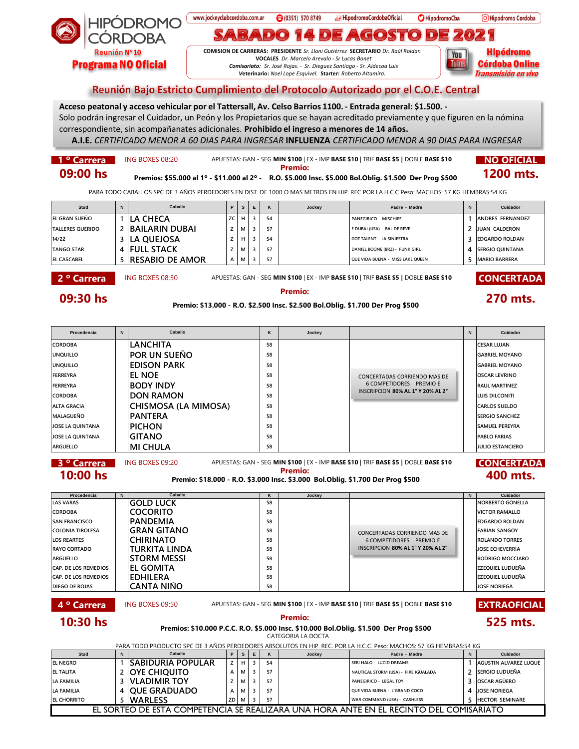

## www.jockeyclubcordoba.com.ar **Infinite HipodromoCordobaOficial 8** (0351) 570 8749 **O**HipodromoCba O Hipodromo Cordoba  $\mathbf{D}$ D  $(GOST)$  $\bullet$  $\vert$  D)  $\bullet$

**COMISION DE CARRERAS: PRESIDENTE** *Sr. Lloni Gutiérrez* **SECRETARIO** *Dr. Raúl Roldan* **VOCALES** *Dr. Marcelo Arevalo - Sr Lucas Bonet Comisariato: Sr. José Rojas. - Sr. Dieguez Santiago - Sr. Aldecoa Luis V***eterinario:** *Noel Lope Esquivel.* **Starter:** *Roberto Altamira.* 



## Reunión Bajo Estricto Cumplimiento del Protocolo Autorizado por el C.O.E. Central

**Acceso peatonal y acceso vehicular por el Tattersall, Av. Celso Barrios 1100.- Entrada general: \$1.500. -** Solo podrán ingresar el Cuidador, un Peón y los Propietarios que se hayan acreditado previamente y que figuren en la nómina correspondiente, sin acompañanates adicionales. **Prohibido el ingreso a menores de 14 años.**

**A.I.E.** *CERTIFICADO MENOR A 60 DIAS PARA INGRESAR* **INFLUENZA** *CERTIFICADO MENOR A 90 DIAS PARA INGRESAR*

## **1 º Carrera | ING BOXES 08:20 APUESTAS: GAN - SEG MIN \$100 | EX - IMP BASE \$10 | TRIF BASE \$5 | DOBLE BASE \$10 | NO OFICIAL 09:00 hs Premio: Premio: Premio: Premio: Premio: Premio: Premio: Premio: Premio: Premio: Prog \$500 1200 mts.**

PARA TODO CABALLOS SPC DE 3 AÑOS PERDEDORES EN DIST. DE 1000 O MAS METROS EN HIP. REC POR LA H.C.C Peso: MACHOS: 57 KG HEMBRAS:54 KG

| Stud                    | N | Caballo                  | P   | S.  |    | Jockey | Padre - Madre                    | Cuidador                 |
|-------------------------|---|--------------------------|-----|-----|----|--------|----------------------------------|--------------------------|
| EL GRAN SUEÑO           |   | <b>LA CHECA</b>          | ZC. | н І | 54 |        | PANEGIRICO - MISCHIEF            | <b>JANDRES FERNANDEZ</b> |
| <b>TALLERES OUERIDO</b> |   | 2 BAILARIN DUBAI         |     | M I | 57 |        | E DUBAI (USA) - BAL DE REVE      | JUAN CALDERON            |
| 14/22                   |   | 3 ILA QUEJOSA            |     | H   | 54 |        | GOT TALENT - LA SINIESTRA        | <b>EDGARDO ROLDAN</b>    |
| <b>TANGO STAR</b>       |   | 4 FULL STACK             |     | Мı  | 57 |        | DANIEL BOONE (BRZ) - FUNK GIRL   | <b>ISERGIO QUINTANA</b>  |
| <b>EL CASCABEL</b>      |   | <b>5 RESABIO DE AMOR</b> | A   | M   | 57 |        | OUE VIDA BUENA - MISS LAKE OUEEN | <b>MARIO BARRERA</b>     |
|                         |   |                          |     |     |    |        |                                  |                          |

**2 º Carrera Boxes 08:50 APUESTAS: GAN - SEG MIN \$100 | EX - IMP BASE \$10 | TRIF BASE \$5 | DOBLE BASE \$10 CONCERTADA** 

**09:30 hs Premio: Premio: Premio: Premio: Premio: Premio: 270 mts. Premio:** \$13.000 - R.O. \$2.500 Insc. \$2.500 Bol.Oblig. \$1.700 Der Prog \$500

| Procedencia                                                                                                                                                                                                                                                                         | N | Caballo              | ĸ  | Jockey |                                   | N | Cuidador                |  |
|-------------------------------------------------------------------------------------------------------------------------------------------------------------------------------------------------------------------------------------------------------------------------------------|---|----------------------|----|--------|-----------------------------------|---|-------------------------|--|
| <b>CORDOBA</b>                                                                                                                                                                                                                                                                      |   | <b>LANCHITA</b>      | 58 |        |                                   |   | <b>CESAR LUJAN</b>      |  |
| <b>UNQUILLO</b>                                                                                                                                                                                                                                                                     |   | POR UN SUEÑO         | 58 |        |                                   |   | <b>GABRIEL MOYANO</b>   |  |
| <b>UNQUILLO</b>                                                                                                                                                                                                                                                                     |   | <b>EDISON PARK</b>   | 58 |        |                                   |   | <b>GABRIEL MOYANO</b>   |  |
| <b>FERREYRA</b>                                                                                                                                                                                                                                                                     |   | EL NOE               | 58 |        | CONCERTADAS CORRIENDO MAS DE      |   | <b>OSCAR LEVRINO</b>    |  |
| <b>FERREYRA</b>                                                                                                                                                                                                                                                                     |   | <b>BODY INDY</b>     | 58 |        | 6 COMPETIDORES PREMIO E           |   | <b>RAUL MARTINEZ</b>    |  |
| <b>CORDOBA</b>                                                                                                                                                                                                                                                                      |   | <b>DON RAMON</b>     | 58 |        | INSCRIPCION 80% AL 1° Y 20% AL 2° |   | <b>LUIS DILCONITI</b>   |  |
| <b>ALTA GRACIA</b>                                                                                                                                                                                                                                                                  |   | CHISMOSA (LA MIMOSA) | 58 |        |                                   |   | <b>CARLOS SUELDO</b>    |  |
| <b>MALAGUEÑO</b>                                                                                                                                                                                                                                                                    |   | <b>PANTERA</b>       | 58 |        |                                   |   | <b>SERGIO SANCHEZ</b>   |  |
| JOSE LA QUINTANA                                                                                                                                                                                                                                                                    |   | <b>PICHON</b>        | 58 |        |                                   |   | <b>SAMUEL PEREYRA</b>   |  |
| JOSE LA QUINTANA                                                                                                                                                                                                                                                                    |   | <b>GITANO</b>        | 58 |        |                                   |   | <b>PABLO FARIAS</b>     |  |
| <b>ARGUELLO</b>                                                                                                                                                                                                                                                                     |   | <b>MI CHULA</b>      | 58 |        |                                   |   | <b>JULIO ESTANCIERO</b> |  |
| APUESTAS: GAN - SEG MIN \$100   EX - IMP BASE \$10   TRIF BASE \$5   DOBLE BASE \$10<br>3 <sup>o</sup> Carrera<br><b>CONCERTADA</b><br>ING BOXES 09:20<br><b>Premio:</b><br>10:00 hs<br>400 mts.<br>Premio: \$18.000 - R.O. \$3.000 Insc. \$3.000 Bol.Oblig. \$1.700 Der Prog \$500 |   |                      |    |        |                                   |   |                         |  |
| Procedencia                                                                                                                                                                                                                                                                         | N | Caballo              | K  | Jockey |                                   | N | Cuidador                |  |

| 11 <b>0000010</b>           | . . | -------            | . . | <b>UUURUY</b> |                                   | . | <b>UUNUUU</b>            |
|-----------------------------|-----|--------------------|-----|---------------|-----------------------------------|---|--------------------------|
| <b>LAS VARAS</b>            |     | IGOLD LUCK         | 58  |               |                                   |   | INORBERTO GONELLA        |
| <b>CORDOBA</b>              |     | <b>COCORITO</b>    | 58  |               |                                   |   | VICTOR RAMALLO           |
| <b>SAN FRANCISCO</b>        |     | <b>PANDEMIA</b>    | 58  |               |                                   |   | <b>EDGARDO ROLDAN</b>    |
| <b>COLONIA TIROLESA</b>     |     | <b>GRAN GITANO</b> | 58  |               | CONCERTADAS CORRIENDO MAS DE      |   | FABIAN SANGOY            |
| <b>LOS REARTES</b>          |     | <b>CHIRINATO</b>   | 58  |               | 6 COMPETIDORES PREMIO E           |   | <b>ROLANDO TORRES</b>    |
| <b>RAYO CORTADO</b>         |     | TURKITA LINDA      | 58  |               | INSCRIPCION 80% AL 1° Y 20% AL 2° |   | <b>JOSE ECHEVERRIA</b>   |
| <b>ARGUELLO</b>             |     | <b>STORM MESSI</b> | 58  |               |                                   |   | <b>IRODRIGO MOCCIARO</b> |
| CAP. DE LOS REMEDIOS        |     | <b>EL GOMITA</b>   | 58  |               |                                   |   | <b>IEZEOUIEL LUDUEÑA</b> |
| <b>CAP. DE LOS REMEDIOS</b> |     | <b>EDHILERA</b>    | 58  |               |                                   |   | <b>EZEQUIEL LUDUEÑA</b>  |
| <b>DIEGO DE ROJAS</b>       |     | <b>CANTA NIÑO</b>  | 58  |               |                                   |   | <b>JOSE NORIEGA</b>      |

**4 º Carrera | ING BOXES 09:50 APUESTAS: GAN - SEG <b>MIN \$100** | EX - IMP **BASE \$10** | TRIF **BASE \$5 |** DOBLE **BASE \$10 EXTRAOFICIAL** 



**10:30 hs Premio: 525 mts. Premios: \$10.000 P.C.C. R.O. \$5.000 Insc. \$10.000 Bol.Oblig. \$1.500 Der Prog \$500** CATEGORIA LA DOCTA PARA TODO PRODUCTO SPC DE 3 AÑOS PERDEDORES ABSOLUTOS EN HIP. REC. POR LA H.C.C. Peso: MACHOS: 57 KG HEMBRAS:54 KG

|                                                                                        | PARA TUDO PRODUCTO SPC DE 3 ANOS PERDEDORES ABSOLUTOS EN HIP. REC. POR LA H.C.C. Peso: MACHOS: 57 KG HEMBRAS:54 KG |                      |    |     |   |    |        |                                      |  |                              |  |
|----------------------------------------------------------------------------------------|--------------------------------------------------------------------------------------------------------------------|----------------------|----|-----|---|----|--------|--------------------------------------|--|------------------------------|--|
| Stud                                                                                   |                                                                                                                    | Caballo              |    | s   | E |    | Jockey | Padre - Madre                        |  | Cuidador                     |  |
| <b>IEL NEGRO</b>                                                                       |                                                                                                                    | SABIDURIA POPULAR    | z  |     |   | 54 |        | SEBI HALO - LUCID DREAMS             |  | <b>AGUSTIN ALVAREZ LUOUE</b> |  |
| <b>IEL TALITA</b>                                                                      |                                                                                                                    | <b>NOYE CHIQUITO</b> |    | IVI |   | 57 |        | NAUTICAL STORM (USA) - FIRE IGUALADA |  | 2 ISERGIO LUDUEÑA            |  |
| LA FAMILIA                                                                             |                                                                                                                    | <b>IVLADIMIR TOY</b> |    |     |   | 57 |        | PANEGIRICO - LEGAL TOY               |  | 3 OSCAR AGÜERO               |  |
| LA FAMILIA                                                                             |                                                                                                                    | <b>OUE GRADUADO</b>  |    | M   |   | 57 |        | OUE VIDA BUENA - L'GRAND COCO        |  | 4 JOSE NORIEGA               |  |
| <b>EL CHORRITO</b>                                                                     |                                                                                                                    | <b>WARLESS</b>       | ZD | м   |   | 57 |        | WAR COMMAND (USA) - CASHLESS         |  | 5 HECTOR SEMINARE            |  |
| EL SORTEO DE ESTA COMPETENCIA SE REALIZARA UNA HORA ANTE EN EL RECINTO DEL COMISARIATO |                                                                                                                    |                      |    |     |   |    |        |                                      |  |                              |  |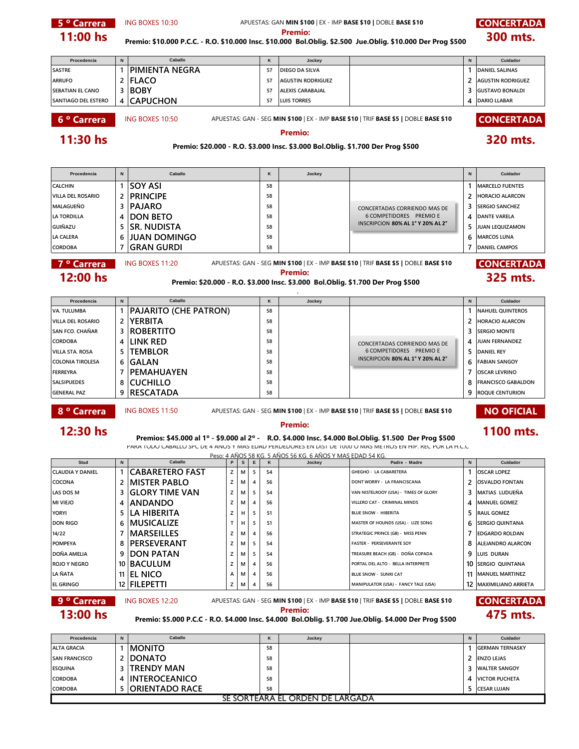**5 ° Carrera BING BOXES 10:30** APUESTAS: GAN MIN \$100 | EX - IMP BASE \$10 | DOBLE BASE \$10 **CONCERTADA Procedencia N K Jockey N Cuidador SASTRE 1 PIMIENTA NEGRA <sup>57</sup> DIEGO DA SILVA 1 DANIEL SALINAS ARRUFO 2 FLACO <sup>57</sup> AGUSTIN RODRIGUEZ 2 AGUSTIN RODRIGUEZ SEBATIAN EL CANO 3 BOBY <sup>57</sup> ALEXIS CARABAJAL 3 GUSTAVO BONALDI SANTIAGO DEL ESTERO 4 CAPUCHON <sup>57</sup> LUIS TORRES 4 DARIO LLABAR 6 <sup>o</sup> Carrera** ING BOXES 10:50 APUESTAS: GAN - SEG **MIN \$100** | EX - IMP **BASE \$10** | TRIF **BASE \$5 |** DOBLE **BASE \$10 CONCERTADA Procedencia N K Jockey N Cuidador CALCHIN 1 SOY ASI <sup>58</sup> 1 MARCELO FUENTES VILLA DEL ROSARIO 2 PRINCIPE <sup>58</sup> 2 HORACIO ALARCON MALAGUEÑO** 3<sup></sup> **PAJARO** 58 58 **3** CONCERTADAS CORRIENDO MAS DE 3<sup>5</sup> SERGIO SANCHEZ **LA TORDILLA 4 DON BETO <sup>58</sup> 4 DANTE VARELA** 6 COMPETIDORES PREMIO E **GUIÑAZU 5 SR. NUDISTA <sup>58</sup> 5 JUAN LEQUIZAMON LA CALERA 6 JUAN DOMINGO <sup>58</sup> 6 MARCOS LUNA CORDOBA 7 GRAN GURDI <sup>58</sup> 7 DANIEL CAMPOS 7 º Carrera | ING BOXES 11:20** APUESTAS: GAN - SEG **MIN \$100** | EX - IMP **BASE \$10** | TRIF **BASE \$5 |** DOBLE **BASE \$10 CONCERTADA Procedencia N K Jockey N Cuidador VA. TULUMBA 1 PAJARITO (CHE PATRON) <sup>58</sup> 1 NAHUEL QUINTEROS VILLA DEL ROSARIO 2 YERBITA <sup>58</sup> 2 HORACIO ALARCON SAN FCO. CHAÑAR 3 ROBERTITO <sup>58</sup> 3 SERGIO MONTE CORDOBA 4 LINK RED 58 58 1 CONCERTADAS CORRIENDO MAS DE 4 JUAN FERNANDEZ VILLA STA. ROSA 5 TEMBLOR <sup>58</sup> 5 DANIEL REY** 6 COMPETIDORES PREMIO E **COLONIA TIROLESA 6 GALAN <sup>58</sup> 6 FABIAN SANGOY FERREYRA 7 PEMAHUAYEN <sup>58</sup> 7 OSCAR LEVRINO SALSIPUEDES 8 CUCHILLO <sup>58</sup> 8 FRANCISCO GABALDON GENERAL PAZ 9 RESCATADA <sup>58</sup> 9 ROQUE CENTURION 8 ° Carrera Boxes 11:50 APUESTAS: GAN - SEG MIN \$100 | EX - IMP BASE \$10 | TRIF BASE \$5 | DOBLE BASE \$10 <b>NO OFICIAL Stud N P S E K Jockey Padre - Madre N Cuidador CLAUDIA Y DANIEL 1 CABARETERO FAST <sup>Z</sup> <sup>M</sup> <sup>5</sup> <sup>54</sup> GHEGHO - LA CABARETERA 1 OSCAR LOPEZ COCONA 2 MISTER PABLO <sup>Z</sup> <sup>M</sup> <sup>4</sup> <sup>56</sup> DONT WORRY - LA FRANCISCANA 2 OSVALDO FONTAN LAS DOS M 3 GLORY TIME VAN <sup>Z</sup> <sup>M</sup> <sup>5</sup> <sup>54</sup> VAN NISTELROOY (USA) - TIMES OF GLORY 3 MATIAS LUDUEÑA MI VIEJO 4 ANDANDO <sup>Z</sup> <sup>M</sup> <sup>4</sup> <sup>56</sup> VILLERO CAT - CRIMINAL MINDS 4 MANUEL GOMEZ YORYI 5 LA HIBERITA <sup>Z</sup> <sup>H</sup> <sup>5</sup> <sup>51</sup> BLUE SNOW - HIBERITA 5 RAUL GOMEZ DON RIGO 6 MUSICALIZE T H 5 51 MASTER OF HOUNDS (USA) - LIZE SONG 6** SERGIO QUINTANA **14/22 7 MARSEILLES <sup>Z</sup> <sup>M</sup> <sup>4</sup> <sup>56</sup> STRATEGIC PRINCE (GB) - MISS PENN 7 EDGARDO ROLDAN POMPEYA 8 PERSEVERANT <sup>Z</sup> <sup>M</sup> <sup>5</sup> <sup>54</sup> FASTER - PERSEVERANTE SOY 8 ALEJANDRO ALARCON DOÑA AMELIA 9 DON PATAN <sup>Z</sup> <sup>M</sup> <sup>5</sup> <sup>54</sup> TREASURE BEACH (GB) - DOÑA COPADA 9 LUIS DURAN ROJO Y NEGRO 10 BACULUM <sup>Z</sup> <sup>M</sup> <sup>4</sup> <sup>56</sup> PORTAL DEL ALTO - BELLA INTERPRETE 10 SERGIO QUINTANA LA ÑATA 11 EL NICO <sup>A</sup> <sup>M</sup> <sup>4</sup> <sup>56</sup> BLUE SNOW - SUNRI CAT 11 MANUEL MARTINEZ EL GRINGO 12 FILEPETTI <sup>Z</sup> <sup>M</sup> <sup>4</sup> <sup>56</sup> MANIPULATOR (USA) - FANCY TALE (USA) 12 MAXIMILIANO ARRIETA 9 <sup>o</sup> Carrera Boxes 12:20 APUESTAS: GAN - SEG <b>MIN \$100** | EX - IMP **BASE \$10** | TRIF **BASE \$5 |** DOBLE **BASE \$10 CONCERTADA Procedencia N K Jockey N Cuidador ALTA GRACIA 1 MONITO <sup>58</sup> 1 GERMAN TERNASKY SAN FRANCISCO 2 DONATO <sup>58</sup> 2 ENZO LEJAS ESQUINA 3 TRENDY MAN <sup>58</sup> 3 WALTER SANGOY CORDOBA 4 INTEROCEANICO <sup>58</sup> 4 VICTOR PUCHETA CORDOBA 5 ORIENTADO RACE <sup>58</sup> 5 CESAR LUJAN 11:00 hs Premio: 300 mts. Premio: \$10.000 P.C.C. - R.O. \$10.000 Insc. \$10.000 Bol.Oblig. \$2.500 Jue.Oblig. \$10.000 Der Prog \$500 Caballo 12:30 hs Premio: Premio: Premio: 12:30 hs Premios:** \$45.000 al 1º - \$9.000 al 2º - R.O. \$4.000 Insc. \$4.000 Bol.Oblig. \$1.500 Der Prog \$500 **1100 mts.** PARA TODO CABALLO SPC DE 4 AÑOS Y MAS EDAD PERDEDORES EN DIST DE 1000 O MAS METROS EN HIP. REC POR LA H.C.C Peso: 4 AÑOS 58 KG. 5 AÑOS 56 KG. 6 AÑOS Y MAS EDAD 54 KG. **Caballo** SE SORTEARA EL ORDEN DE LARGADA **Caballo 11:30 hs Premio: Premio: Premio: Premio: Premio: 11:30 hs Premio:** \$20.000 - R.O. \$3.000 Insc. \$3.000 Bol.Oblig. \$1.700 Der Prog \$500 **15. 12:00 hs Premio: 325 mts. Premio: \$20.000 - R.O. \$3.000 Insc. \$3.000 Bol.Oblig. \$1.700 Der Prog \$500 13:00 hs** Premio: \$5.000 P.C.C - R.O. \$4.000 Insc. \$4.000 Bol.Oblig. \$1.700 Jue.Oblig. \$4.000 Der Prog \$500 **475 mts.** ING BOXES 11:20 , **Caballo Caballo** INSCRIPCION **80% AL 1° Y 20% AL 2°** INSCRIPCION **80% AL 1° Y 20% AL 2°**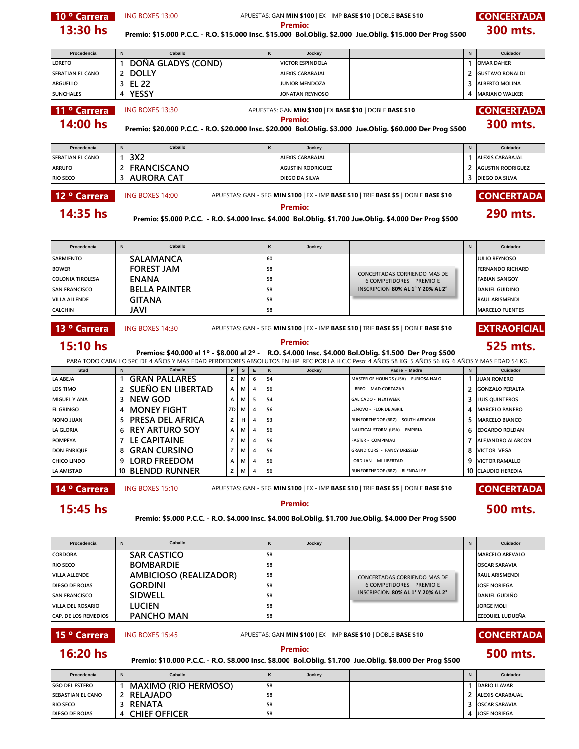**10 · Carrera** ING BOXES 13:00 APUESTAS: GAN **MIN \$100** | EX - IMP **BASE \$10** | DOBLE **BASE \$10 CONCERTADA Procedencia N K Jockey N Cuidador LORETO 1 DOÑA GLADYS (COND) VICTOR ESPINDOLA 1 OMAR DAHER SEBATIAN EL CANO 2 DOLLY ALEXIS CARABAJAL 2 GUSTAVO BONALDI ARGUELLO 3 EL 22 JUNIOR MENDOZA 3 ALBERTO MOLINA SUNCHALES 4 YESSY JONATAN REYNOSO 4 MARIANO WALKER 11 ° Carrera** ING BOXES 13:30 **APUESTAS: GAN MIN \$100** | EX BASE \$10 | DOBLE BASE \$10 **CONCERTADA Procedencia N K Jockey N Cuidador SEBATIAN EL CANO 1 3X2 ALEXIS CARABAJAL 1 ALEXIS CARABAJAL ARRUFO 2 FRANCISCANO AGUSTIN RODRIGUEZ 2 AGUSTIN RODRIGUEZ RIO SECO 3 AURORA CAT DIEGO DA SILVA 3 DIEGO DA SILVA 12 ° Carrera** ING BOXES 14:00 APUESTAS: GAN - SEG MIN \$100 | EX - IMP BASE \$10 | TRIF BASE \$5 | DOBLE BASE \$10 **CONCERTADA Procedencia N K Jockey N Cuidador** SARMIENTO **SALAMANCA** 60 60 JULIO REYNOSO **BOWER FOREST JAM 58 FERNANDO RICHARD COLONIA TIROLESA ENANA <sup>58</sup> FABIAN SANGOY** 6 COMPETIDORES PREMIO E **SAN FRANCISCO BELLA PAINTER <sup>58</sup> DANIEL GUIDIÑO** INSCRIPCION **80% AL 1° Y 20% AL 2° VILLA ALLENDE GITANA <sup>58</sup> RAUL ARISMENDI CALCHIN JAVI <sup>58</sup> MARCELO FUENTES** 13 ° Carrera **BOXES 14:30** APUESTAS: GAN - SEG MIN \$100 | EX - IMP BASE \$10 | TRIF BASE \$5 | DOBLE BASE \$10 **EXTRAOFICIAL Stud N P S E K Jockey Padre - Madre N Cuidador LA ABEJA 1 GRAN PALLARES <sup>Z</sup> <sup>M</sup> <sup>6</sup> <sup>54</sup> MASTER OF HOUNDS (USA) - FURIOSA HALO 1 JUAN ROMERO LOS TIMO 2 SUEÑO EN LIBERTAD <sup>A</sup> <sup>M</sup> <sup>4</sup> <sup>56</sup> LIBREO - MAD CORTAZAR 2 GONZALO PERALTA MIGUEL Y ANA 3 NEW GOD <sup>A</sup> <sup>M</sup> <sup>5</sup> <sup>54</sup> GALICADO - NEXTWEEK 3 LUIS QUINTEROS EL GRINGO 4 MONEY FIGHT ZD <sup>M</sup> <sup>4</sup> <sup>56</sup> LENOVO - FLOR DE ABRIL 4 MARCELO PANERO NONO JUAN 5 PRESA DEL AFRICA <sup>Z</sup> <sup>H</sup> <sup>4</sup> <sup>53</sup> RUNFORTHEDOE (BRZ) - SOUTH AFRICAN 5 MARCELO BIANCO LA GLORIA 6 REY ARTURO SOY <sup>A</sup> <sup>M</sup> <sup>4</sup> <sup>56</sup> NAUTICAL STORM (USA) - EMPIRIA 6 EDGARDO ROLDAN POMPEYA 7 LE CAPITAINE <sup>Z</sup> <sup>M</sup> <sup>4</sup> <sup>56</sup> FASTER - COMPIMAU 7 ALEJANDRO ALARCON DON ENRIQUE 8 GRAN CURSINO <sup>Z</sup> <sup>M</sup> <sup>4</sup> <sup>56</sup> GRAND CURSI - FANCY DRESSED 8 VICTOR VEGA CHICO LINDO 9 LORD FREEDOM <sup>A</sup> <sup>M</sup> <sup>4</sup> <sup>56</sup> LORD JAN - MI LIBERTAD 9 VICTOR RAMALLO LA AMISTAD 10 BLENDD RUNNER <sup>Z</sup> <sup>M</sup> <sup>4</sup> <sup>56</sup> RUNFORTHEDOE (BRZ) - BLENDA LEE 10 CLAUDIO HEREDIA 14 ° Carrera** ING BOXES 15:10 APUESTAS: GAN - SEG MIN \$100 | EX - IMP BASE \$10 | TRIF BASE \$5 | DOBLE BASE \$10 **CONCERTADA Procedencia N K Jockey N Cuidador CORDOBA SAR CASTICO <sup>58</sup> MARCELO AREVALO RIO SECO BOMBARDIE <sup>58</sup> OSCAR SARAVIA** VILLA ALLENDE **AMBICIOSO (REALIZADOR)** 58 **RAUL ARISMENDI ARISMENDI ARISMENDI DIEGO DE ROJAS GORDINI GORDINI 58 JOSE NORIEGA SAN FRANCISCO SIDWELL** 58 **DANIEL SIDWELL** 58 **DANIEL GUDIÑO VILLA DEL ROSARIO LUCIEN <sup>58</sup> JORGE MOLI CAP. DE LOS REMEDIOS PANCHO MAN <sup>58</sup> EZEQUIEL LUDUEÑA 15 ° Carrera** ING BOXES 15:45 APUESTAS: GAN **MIN \$100** | EX - IMP **BASE \$10** | DOBLE **BASE \$10 CONCERTADA 13:30 hs** Premio: \$15.000 P.C.C. - R.O. \$15.000 Insc. \$15.000 Bol.Oblig. \$2.000 Jue.Oblig. \$15.000 Der Prog \$500 **300 mts. Caballo** ING BOXES 13:30 **290 mts. Premio: Premio: Premio: Premio: Premio: Premio: 290 mts. Premio: 290 mts. 290 mts. Prog \$500 290 mts. 15:10 hs** Premios: \$40.000 al 1º - \$8.000 al 2º - R.O. \$4.000 Insc. \$4.000 Bol.Oblig. \$1.500 Der Prog \$500 **525 mts.** PARA TODO CABALLO SPC DE 4 AÑOS Y MAS EDAD PERDEDORES ABSOLUTOS EN HIP. REC POR LA H.C.C Peso: 4 AÑOS 58 KG. 5 AÑOS 56 KG. 6 AÑOS Y MAS EDAD 54 KG. **Caballo 14:00 hs Premio: \$20.000 P.C.C. - R.O. \$20.000 Insc. \$20.000 Bol.Oblig. \$3.000 Jue.Oblig. \$60.000 Der Prog \$500 <b>300 mts. 16:20 hs Premio: 500 mts. Premio: \$10.000 P.C.C. - R.O. \$8.000 Insc. \$8.000 Bol.Oblig. \$1.700 Jue.Oblig. \$8.000 Der Prog \$500 Caballo 500 mts. Premio: \$5.000 P.C.C. - R.O. \$4.000 Insc. \$4.000 Bol.Oblig. \$1.700 Jue.Oblig. \$4.000 Der Prog \$500 15:45 hs Premio: Caballo Caballo** CONCERTADAS CORRIENDO MAS DE CONCERTADAS CORRIENDO MAS DE INSCRIPCION **80% AL 1° Y 20% AL 2°**

| IMAXIMO (RIO HERMOSO)<br><b>ISGO DEL ESTERO</b>    | 58 |  |              | <b>DARIO LLAVAR</b>  |
|----------------------------------------------------|----|--|--------------|----------------------|
| <b>RELAJADO</b><br><b>SEBASTIAN EL CANO</b>        | 58 |  |              | 2 TALEXIS CARABAJAL  |
| <b>IRENATA</b><br><b>RIO SECO</b>                  | 58 |  |              | <b>OSCAR SARAVIA</b> |
| <b>CHIEF OFFICER</b><br><b>DIEGO DE ROJAS</b><br>4 | 58 |  | $\mathbf{v}$ | <b>JOSE NORIEGA</b>  |